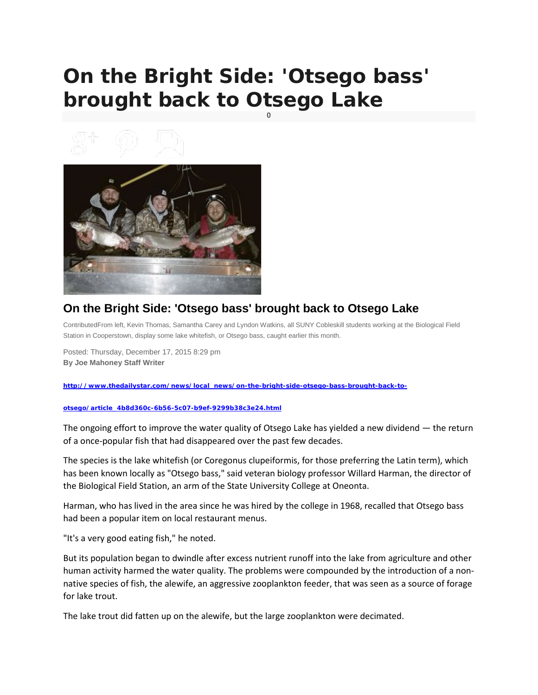## **On the Bright Side: 'Otsego bass' brought back to Otsego Lake**

**0**





## **On the Bright Side: 'Otsego bass' brought back to Otsego Lake**

ContributedFrom left, Kevin Thomas, Samantha Carey and Lyndon Watkins, all SUNY Cobleskill students working at the Biological Field Station in Cooperstown, display some lake whitefish, or Otsego bass, caught earlier this month.

Posted: Thursday, December 17, 2015 8:29 pm **By Joe Mahoney Staff Writer**

**[http://www.thedailystar.com/news/local\\_news/on-the-bright-side-otsego-bass-brought-back-to-](http://www.thedailystar.com/news/local_news/on-the-bright-side-otsego-bass-brought-back-to-otsego/article_4b8d360c-6b56-5c07-b9ef-9299b38c3e24.html)**

## **[otsego/article\\_4b8d360c-6b56-5c07-b9ef-9299b38c3e24.html](http://www.thedailystar.com/news/local_news/on-the-bright-side-otsego-bass-brought-back-to-otsego/article_4b8d360c-6b56-5c07-b9ef-9299b38c3e24.html)**

The ongoing effort to improve the water quality of Otsego Lake has yielded a new dividend — the return of a once-popular fish that had disappeared over the past few decades.

The species is the lake whitefish (or Coregonus clupeiformis, for those preferring the Latin term), which has been known locally as "Otsego bass," said veteran biology professor Willard Harman, the director of the Biological Field Station, an arm of the State University College at Oneonta.

Harman, who has lived in the area since he was hired by the college in 1968, recalled that Otsego bass had been a popular item on local restaurant menus.

"It's a very good eating fish," he noted.

But its population began to dwindle after excess nutrient runoff into the lake from agriculture and other human activity harmed the water quality. The problems were compounded by the introduction of a nonnative species of fish, the alewife, an aggressive zooplankton feeder, that was seen as a source of forage for lake trout.

The lake trout did fatten up on the alewife, but the large zooplankton were decimated.